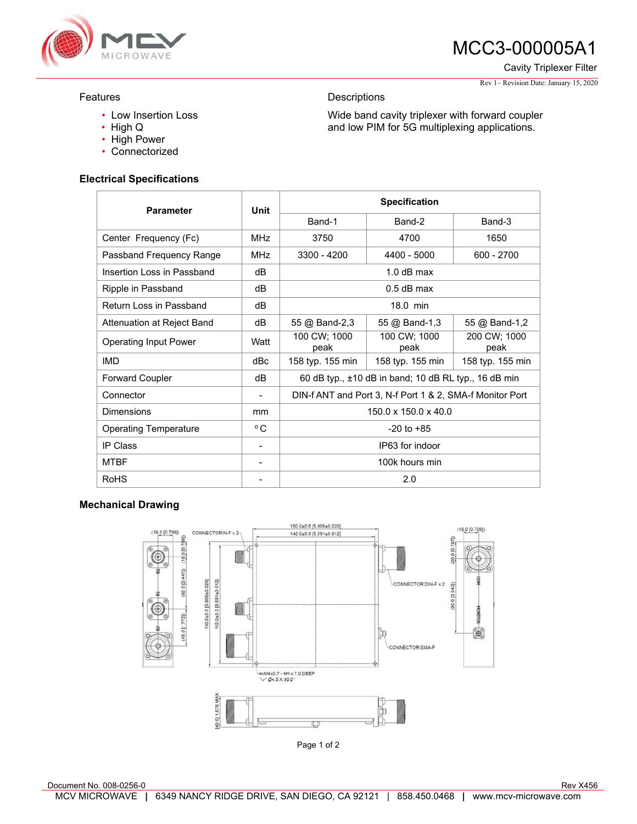

# MCC3-000005A1

Cavity Triplexer Filter

#### Rev 1– Revision Date: January 15, 2020

### Features

- Low Insertion Loss
- High Q
- High Power
- Connectorized

## **Electrical Specifications**

| <b>Parameter</b>             | Unit            | <b>Specification</b>                                     |                      |                      |
|------------------------------|-----------------|----------------------------------------------------------|----------------------|----------------------|
|                              |                 | Band-1                                                   | Band-2               | Band-3               |
| Center Frequency (Fc)        | MH <sub>7</sub> | 3750                                                     | 4700                 | 1650                 |
| Passband Frequency Range     | MH <sub>7</sub> | 3300 - 4200                                              | 4400 - 5000          | $600 - 2700$         |
| Insertion Loss in Passband   | dB              | $1.0$ dB max                                             |                      |                      |
| Ripple in Passband           | dB              | $0.5$ dB max                                             |                      |                      |
| Return Loss in Passband      | dB              | 18.0 min                                                 |                      |                      |
| Attenuation at Reject Band   | dB              | 55 @ Band-2,3                                            | 55 @ Band-1,3        | 55 @ Band-1,2        |
| <b>Operating Input Power</b> | Watt            | 100 CW; 1000<br>peak                                     | 100 CW; 1000<br>peak | 200 CW; 1000<br>peak |
| <b>IMD</b>                   | dBc             | 158 typ. 155 min                                         | 158 typ. 155 min     | 158 typ. 155 min     |
| <b>Forward Coupler</b>       | dB              | 60 dB typ., ±10 dB in band; 10 dB RL typ., 16 dB min     |                      |                      |
| Connector                    |                 | DIN-f ANT and Port 3, N-f Port 1 & 2, SMA-f Monitor Port |                      |                      |
| Dimensions                   | mm              | $150.0 \times 150.0 \times 40.0$                         |                      |                      |
| <b>Operating Temperature</b> | $^{\circ}$ C    | $-20$ to $+85$                                           |                      |                      |
| <b>IP Class</b>              |                 | IP63 for indoor                                          |                      |                      |
| <b>MTBF</b>                  |                 | 100k hours min                                           |                      |                      |
| <b>RoHS</b>                  |                 | 2.0                                                      |                      |                      |

**Descriptions** 

Wide band cavity triplexer with forward coupler and low PIM for 5G multiplexing applications.

#### **Mechanical Drawing**